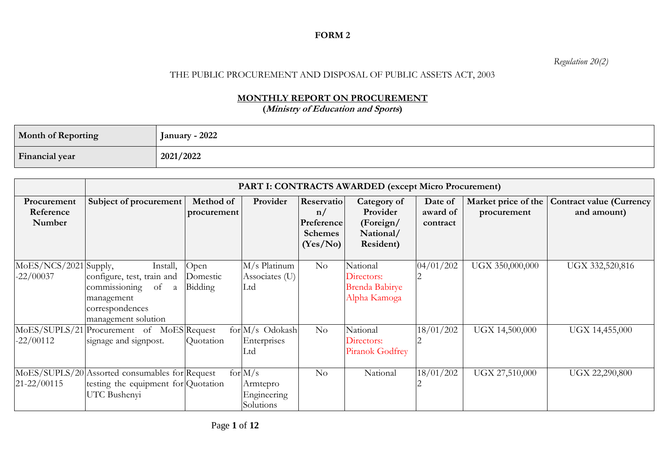## **FORM 2**

*Regulation 20(2)*

## THE PUBLIC PROCUREMENT AND DISPOSAL OF PUBLIC ASSETS ACT, 2003

## **MONTHLY REPORT ON PROCUREMENT**

**(Ministry of Education and Sports)**

| <b>Month of Reporting</b> | January - 2022 |
|---------------------------|----------------|
| Financial year            | 2021/2022      |

|                                      |                                                                                                                            | <b>PART I: CONTRACTS AWARDED (except Micro Procurement)</b> |                                                   |                                                              |                                                                |                                 |                                    |                                                |
|--------------------------------------|----------------------------------------------------------------------------------------------------------------------------|-------------------------------------------------------------|---------------------------------------------------|--------------------------------------------------------------|----------------------------------------------------------------|---------------------------------|------------------------------------|------------------------------------------------|
| Procurement<br>Reference<br>Number   | Subject of procurement                                                                                                     | Method of<br>procurement                                    | Provider                                          | Reservatio<br>n/<br>Preference<br><b>Schemes</b><br>(Yes/No) | Category of<br>Provider<br>(Foreign/<br>National/<br>Resident) | Date of<br>award of<br>contract | Market price of the<br>procurement | <b>Contract value (Currency</b><br>and amount) |
| MoES/NCS/2021 Supply,<br>$-22/00037$ | Install,<br>configure, test, train and<br>of<br>commissioning<br>a<br>management<br>correspondences<br>management solution | Open<br>Domestic<br>Bidding                                 | M/s Platinum<br>Associates (U)<br>Ltd             | No                                                           | National<br>Directors:<br>Brenda Babirye<br>Alpha Kamoga       | 04/01/202                       | UGX 350,000,000                    | UGX 332,520,816                                |
| MoES/SUPLS/21<br>$-22/00112$         | Procurement of MoES Request<br>signage and signpost.                                                                       | Quotation                                                   | $for M/s$ Odokash<br>Enterprises<br>Ltd           | No                                                           | National<br>Directors:<br>Piranok Godfrey                      | 18/01/202                       | UGX 14,500,000                     | UGX 14,455,000                                 |
| $21 - 22/00115$                      | MoES/SUPLS/20 Assorted consumables for Request<br>testing the equipment for Quotation<br>UTC Bushenyi                      |                                                             | for $M/s$<br>Armtepro<br>Engineering<br>Solutions | No                                                           | National                                                       | 18/01/202                       | UGX 27,510,000                     | UGX 22,290,800                                 |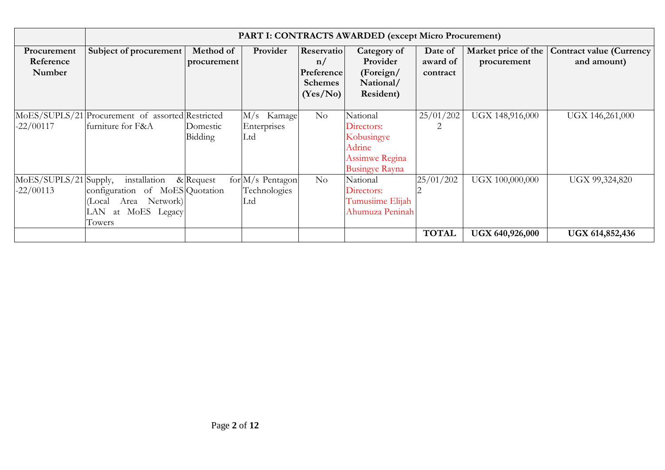|                                      |                                                                                                               | <b>PART I: CONTRACTS AWARDED (except Micro Procurement)</b> |                                                             |                                                              |                                                                                                  |                                 |                                    |                                                |
|--------------------------------------|---------------------------------------------------------------------------------------------------------------|-------------------------------------------------------------|-------------------------------------------------------------|--------------------------------------------------------------|--------------------------------------------------------------------------------------------------|---------------------------------|------------------------------------|------------------------------------------------|
| Procurement<br>Reference<br>Number   | Subject of procurement                                                                                        | Method of<br>procurement                                    | Provider                                                    | Reservatio<br>n/<br>Preference<br><b>Schemes</b><br>(Yes/No) | Category of<br>Provider<br>(Foreign/<br>National/<br>Resident)                                   | Date of<br>award of<br>contract | Market price of the<br>procurement | <b>Contract value (Currency</b><br>and amount) |
| $-22/00117$                          | MoES/SUPLS/21 Procurement of assorted Restricted<br>furniture for F&A                                         | Domestic<br>Bidding                                         | M/s Kamage<br>Enterprises<br>Ltd                            | No                                                           | National<br>Directors:<br>Kobusingye<br>Adrine<br><b>Assimwe Regina</b><br><b>Busingye Rayna</b> | 25/01/202<br>2                  | UGX 148,916,000                    | UGX 146,261,000                                |
| MoES/SUPLS/21 Supply,<br>$-22/00113$ | installation<br>configuration of MoES Quotation<br>Area Network)<br>(Local<br>MoES Legacy<br>LAN at<br>Towers | $\&$ Request                                                | $\overline{\text{for}}$ M/s Pentagon<br>Technologies<br>Ltd | No                                                           | National<br>Directors:<br>Tumusiime Elijah<br>Ahumuza Peninah                                    | 25/01/202                       | UGX 100,000,000                    | UGX 99,324,820                                 |
|                                      |                                                                                                               |                                                             |                                                             |                                                              |                                                                                                  | <b>TOTAL</b>                    | UGX 640,926,000                    | <b>UGX 614,852,436</b>                         |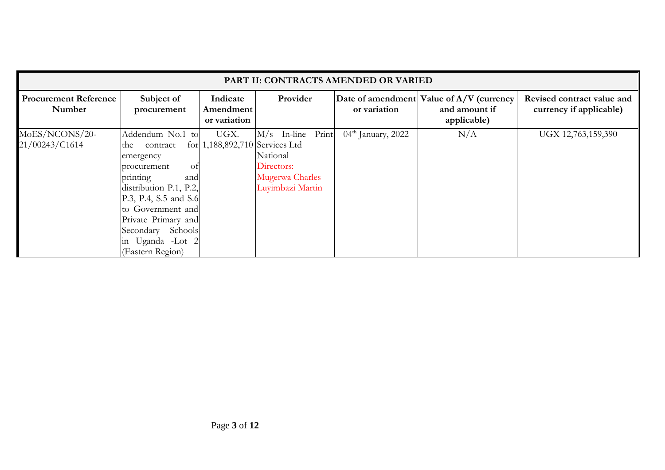|                                        | PART II: CONTRACTS AMENDED OR VARIED                                                                                                                                                                                                                 |                                        |                                                                                    |                      |                                                                          |                                                       |  |  |
|----------------------------------------|------------------------------------------------------------------------------------------------------------------------------------------------------------------------------------------------------------------------------------------------------|----------------------------------------|------------------------------------------------------------------------------------|----------------------|--------------------------------------------------------------------------|-------------------------------------------------------|--|--|
| <b>Procurement Reference</b><br>Number | Subject of<br>procurement                                                                                                                                                                                                                            | Indicate<br>Amendment<br>or variation  | Provider                                                                           | or variation         | Date of amendment Value of A/V (currency<br>and amount if<br>applicable) | Revised contract value and<br>currency if applicable) |  |  |
| MoES/NCONS/20-<br>21/00243/C1614       | Addendum No.1 to<br>contract<br>the<br>emergency<br>procurement<br>Οİ<br>printing<br>and<br>distribution P.1, P.2,<br>P.3, P.4, S.5 and S.6<br>to Government and<br>Private Primary and<br>Secondary Schools<br>in Uganda -Lot 2<br>(Eastern Region) | UGX.<br>for 1,188,892,710 Services Ltd | M/s In-line Print<br>National<br>Directors:<br>Mugerwa Charles<br>Luyimbazi Martin | $04th$ January, 2022 | N/A                                                                      | UGX 12,763,159,390                                    |  |  |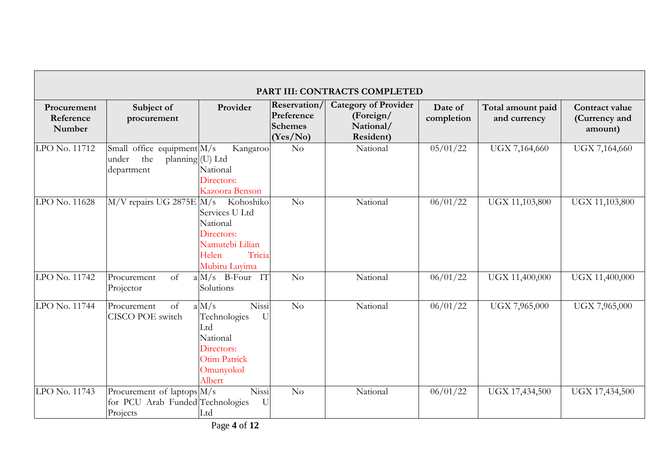|                                    |                                                                              |                                                                                                                          |                                                                 | PART III: CONTRACTS COMPLETED                                      |                       |                                   |                                            |
|------------------------------------|------------------------------------------------------------------------------|--------------------------------------------------------------------------------------------------------------------------|-----------------------------------------------------------------|--------------------------------------------------------------------|-----------------------|-----------------------------------|--------------------------------------------|
| Procurement<br>Reference<br>Number | Subject of<br>procurement                                                    | Provider                                                                                                                 | <b>Reservation/</b><br>Preference<br><b>Schemes</b><br>(Yes/No) | <b>Category of Provider</b><br>(Foreign/<br>National/<br>Resident) | Date of<br>completion | Total amount paid<br>and currency | Contract value<br>(Currency and<br>amount) |
| LPO No. 11712                      | Small office equipment M/s<br>the<br>planning (U) Ltd<br>under<br>department | Kangaroo<br>National<br>Directors:<br>Kazoora Benson                                                                     | No                                                              | National                                                           | 05/01/22              | UGX 7,164,660                     | UGX 7,164,660                              |
| LPO No. 11628                      | M/V repairs UG 2875E M/s                                                     | Kohoshiko<br>Services U Ltd<br>National<br>Directors:<br>Namutebi Lilian<br>Tricia<br>Helen<br>Mubiru Luyima             | No                                                              | National                                                           | 06/01/22              | UGX 11,103,800                    | UGX 11,103,800                             |
| LPO No. 11742                      | Procurement<br><sub>of</sub><br>Projector                                    | $a M/s$ B-Four IT<br>Solutions                                                                                           | N <sub>o</sub>                                                  | National                                                           | 06/01/22              | UGX 11,400,000                    | UGX 11,400,000                             |
| LPO No. 11744                      | Procurement<br>of<br>CISCO POE switch                                        | Nissi<br>a M/s<br>Technologies<br>$\overline{U}$<br>Ltd<br>National<br>Directors:<br>Otim Patrick<br>Omunyokol<br>Albert | No                                                              | National                                                           | 06/01/22              | UGX 7,965,000                     | UGX 7,965,000                              |
| LPO No. 11743                      | Procurement of laptops M/s<br>for PCU Arab Funded Technologies<br>Projects   | Nissi<br>$\mathbf U$<br>Ltd                                                                                              | No                                                              | National                                                           | 06/01/22              | UGX 17,434,500                    | UGX 17,434,500                             |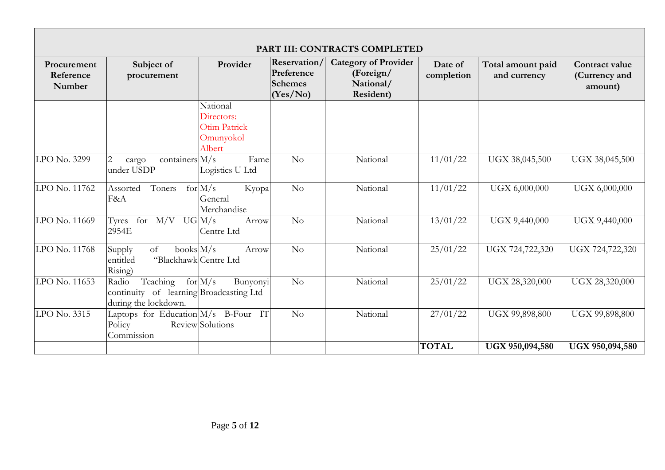|                                    | PART III: CONTRACTS COMPLETED                                                          |                                                               |                                                                 |                                                                    |                       |                                   |                                            |
|------------------------------------|----------------------------------------------------------------------------------------|---------------------------------------------------------------|-----------------------------------------------------------------|--------------------------------------------------------------------|-----------------------|-----------------------------------|--------------------------------------------|
| Procurement<br>Reference<br>Number | Subject of<br>procurement                                                              | Provider                                                      | <b>Reservation/</b><br>Preference<br><b>Schemes</b><br>(Yes/No) | <b>Category of Provider</b><br>(Foreign/<br>National/<br>Resident) | Date of<br>completion | Total amount paid<br>and currency | Contract value<br>(Currency and<br>amount) |
|                                    |                                                                                        | National<br>Directors:<br>Otim Patrick<br>Omunyokol<br>Albert |                                                                 |                                                                    |                       |                                   |                                            |
| LPO No. 3299                       | $\overline{2}$<br>containers $M/s$<br>cargo<br>under USDP                              | Fame<br>Logistics U Ltd                                       | No                                                              | National                                                           | 11/01/22              | UGX 38,045,500                    | UGX 38,045,500                             |
| LPO No. 11762                      | Toners<br>Assorted<br>F&A                                                              | for $M/s$<br>Kyopa<br>General<br>Merchandise                  | No                                                              | National                                                           | 11/01/22              | UGX 6,000,000                     | UGX 6,000,000                              |
| LPO No. 11669                      | Tyres<br>for $M/V$ UG $M/s$<br>2954E                                                   | Arrow<br>Centre Ltd                                           | No                                                              | National                                                           | 13/01/22              | UGX 9,440,000                     | UGX 9,440,000                              |
| LPO No. 11768                      | <sub>of</sub><br>books $M/s$<br>Supply<br>"Blackhawk Centre Ltd<br>entitled<br>Rising) | Arrow                                                         | No                                                              | National                                                           | 25/01/22              | UGX 724,722,320                   | UGX 724,722,320                            |
| LPO No. 11653                      | Teaching<br>Radio<br>continuity of learning Broadcasting Ltd<br>during the lockdown.   | for $M/s$<br>Bunyonyi                                         | No                                                              | National                                                           | 25/01/22              | UGX 28,320,000                    | UGX 28,320,000                             |
| LPO No. 3315                       | Laptops for Education M/s B-Four IT<br>Policy<br>Commission                            | Review Solutions                                              | No                                                              | National                                                           | 27/01/22              | UGX 99,898,800                    | UGX 99,898,800                             |
|                                    |                                                                                        |                                                               |                                                                 |                                                                    | <b>TOTAL</b>          | UGX 950,094,580                   | UGX 950,094,580                            |

┑

 $\blacksquare$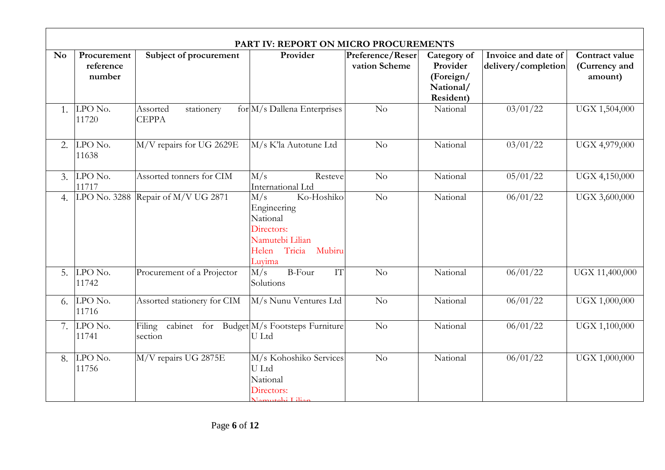|                |                                    |                                                              | PART IV: REPORT ON MICRO PROCUREMENTS                                                                          |                                   |                                                                |                                            |                                            |
|----------------|------------------------------------|--------------------------------------------------------------|----------------------------------------------------------------------------------------------------------------|-----------------------------------|----------------------------------------------------------------|--------------------------------------------|--------------------------------------------|
| N <sub>o</sub> | Procurement<br>reference<br>number | Subject of procurement                                       | Provider                                                                                                       | Preference/Reser<br>vation Scheme | Category of<br>Provider<br>(Foreign/<br>National/<br>Resident) | Invoice and date of<br>delivery/completion | Contract value<br>(Currency and<br>amount) |
|                | 1. $LPO$ No.<br>11720              | Assorted<br>stationery<br><b>CEPPA</b>                       | $for \, M/s$ Dallena Enterprises                                                                               | No                                | National                                                       | $\frac{03}{01/22}$                         | UGX 1,504,000                              |
| 2.             | $LPO$ No.<br>11638                 | M/V repairs for UG 2629E                                     | M/s K'la Autotune Ltd                                                                                          | No                                | National                                                       | 03/01/22                                   | UGX 4,979,000                              |
|                | $3.$ LPO No.<br>11717              | Assorted tonners for CIM                                     | M/s<br>Resteve<br>International Ltd                                                                            | No                                | National                                                       | 05/01/22                                   | UGX 4,150,000                              |
| 4.             |                                    | LPO No. 3288 Repair of M/V UG 2871                           | Ko-Hoshiko<br>M/s<br>Engineering<br>National<br>Directors:<br>Namutebi Lilian<br>Helen Tricia Mubiru<br>Luvima | No                                | National                                                       | 06/01/22                                   | UGX 3,600,000                              |
|                | 5. $LPONo.$<br>11742               | Procurement of a Projector                                   | <b>B-Four</b><br>IT<br>M/s<br>Solutions                                                                        | No                                | National                                                       | 06/01/22                                   | UGX 11,400,000                             |
|                | $6.$ LPO No.<br>11716              | Assorted stationery for CIM                                  | M/s Nunu Ventures Ltd                                                                                          | No                                | National                                                       | 06/01/22                                   | UGX 1,000,000                              |
|                | 7. $LPO$ No.<br>11741              | Filing cabinet for Budget M/s Footsteps Furniture<br>section | U Ltd                                                                                                          | $\overline{No}$                   | National                                                       | 06/01/22                                   | UGX 1,100,000                              |
|                | 8. $LPONo.$<br>11756               | M/V repairs UG 2875E                                         | M/s Kohoshiko Services<br>U Ltd<br>National<br>Directors:<br>Namutebi Lilian                                   | No                                | National                                                       | 06/01/22                                   | UGX 1,000,000                              |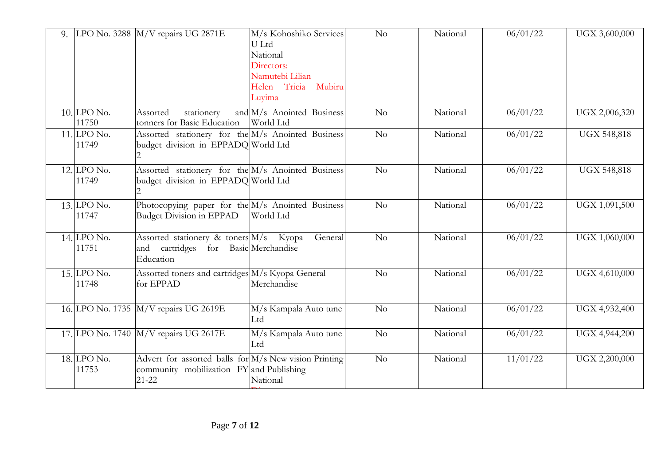| 9. |                         | LPO No. 3288 $M/V$ repairs UG 2871E                                                                            | M/s Kohoshiko Services<br>U Ltd<br>National<br>Directors:<br>Namutebi Lilian<br>Helen Tricia Mubiru<br>Luyima | No              | National | 06/01/22 | UGX 3,600,000      |
|----|-------------------------|----------------------------------------------------------------------------------------------------------------|---------------------------------------------------------------------------------------------------------------|-----------------|----------|----------|--------------------|
|    | $10$ . LPO No.<br>11750 | Assorted<br>stationery<br>tonners for Basic Education                                                          | and M/s Anointed Business<br>World Ltd                                                                        | No              | National | 06/01/22 | UGX 2,006,320      |
|    | $11.$ LPO No.<br>11749  | Assorted stationery for the M/s Anointed Business<br>budget division in EPPADQ World Ltd                       |                                                                                                               | $\overline{N}$  | National | 06/01/22 | <b>UGX 548,818</b> |
|    | $12.$ LPO No.<br>11749  | Assorted stationery for the M/s Anointed Business<br>budget division in EPPADQ World Ltd                       |                                                                                                               | $\overline{N}$  | National | 06/01/22 | <b>UGX 548,818</b> |
|    | $13$ . LPO No.<br>11747 | Photocopying paper for the M/s Anointed Business<br>Budget Division in EPPAD                                   | World Ltd                                                                                                     | No              | National | 06/01/22 | UGX 1,091,500      |
|    | 14. LPO No.<br>11751    | Assorted stationery & toners $ M/s $ Kyopa<br>and cartridges for Basic Merchandise<br>Education                | General                                                                                                       | $\overline{No}$ | National | 06/01/22 | UGX 1,060,000      |
|    | $15$ . LPO No.<br>11748 | Assorted toners and cartridges M/s Kyopa General<br>for EPPAD                                                  | Merchandise                                                                                                   | $\overline{No}$ | National | 06/01/22 | UGX 4,610,000      |
|    |                         | 16. LPO No. 1735 M/V repairs UG 2619E                                                                          | M/s Kampala Auto tune<br>Ltd                                                                                  | No              | National | 06/01/22 | UGX 4,932,400      |
|    |                         | 17. LPO No. 1740 M/V repairs UG 2617E                                                                          | M/s Kampala Auto tune<br>Ltd                                                                                  | $\overline{N}$  | National | 06/01/22 | UGX 4,944,200      |
|    | $18$ , LPO No.<br>11753 | Advert for assorted balls for M/s New vision Printing<br>community mobilization FY and Publishing<br>$21 - 22$ | National                                                                                                      | N <sub>o</sub>  | National | 11/01/22 | UGX 2,200,000      |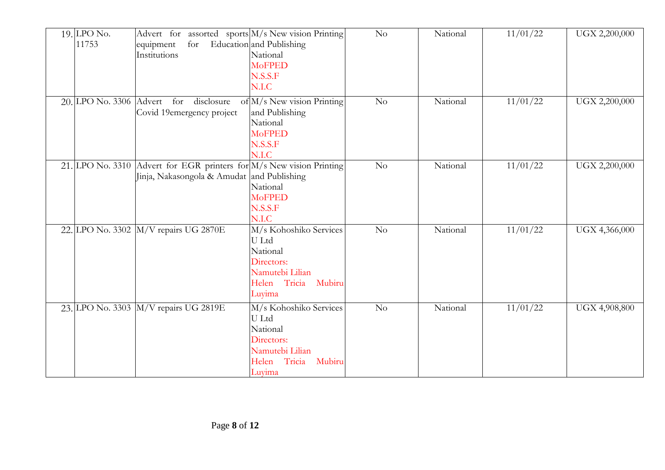| $19$ . LPO No.<br>11753 | Advert for assorted sports M/s New vision Printing<br>for<br>equipment<br>Institutions                             | Education and Publishing<br>National<br><b>MoFPED</b><br>N.S.S.F<br>N.I.C                                           | No             | National | 11/01/22 | UGX 2,200,000 |
|-------------------------|--------------------------------------------------------------------------------------------------------------------|---------------------------------------------------------------------------------------------------------------------|----------------|----------|----------|---------------|
|                         | 20. LPO No. 3306 Advert for disclosure<br>Covid 19emergency project                                                | of M/s New vision Printing<br>and Publishing<br>National<br><b>MoFPED</b><br>N.S.S.F<br>N.I.C                       | No             | National | 11/01/22 | UGX 2,200,000 |
|                         | 21. LPO No. 3310 Advert for EGR printers for M/s New vision Printing<br>Jinja, Nakasongola & Amudat and Publishing | National<br><b>MoFPED</b><br>N.S.S.F<br>N.I.C                                                                       | N <sub>o</sub> | National | 11/01/22 | UGX 2,200,000 |
|                         | 22. LPO No. 3302 M/V repairs UG 2870E                                                                              | M/s Kohoshiko Services<br>U Ltd<br>National<br>Directors:<br>Namutebi Lilian<br>Helen Tricia<br>Mubiru<br>Luyima    | No             | National | 11/01/22 | UGX 4,366,000 |
|                         | 23. LPO No. 3303 M/V repairs UG 2819E                                                                              | M/s Kohoshiko Services<br>U Ltd<br>National<br>Directors:<br>Namutebi Lilian<br>Tricia<br>Mubiru<br>Helen<br>Luyima | $\overline{N}$ | National | 11/01/22 | UGX 4,908,800 |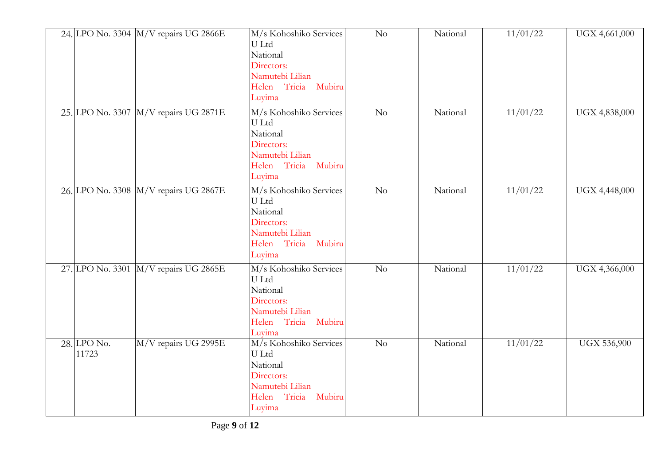|                      | 24. LPO No. 3304 M/V repairs UG 2866E | M/s Kohoshiko Services<br>U Ltd<br>National<br>Directors:<br>Namutebi Lilian<br>Helen Tricia Mubiru<br>Luyima    | No             | National | 11/01/22 | UGX 4,661,000      |
|----------------------|---------------------------------------|------------------------------------------------------------------------------------------------------------------|----------------|----------|----------|--------------------|
|                      | 25. LPO No. 3307 M/V repairs UG 2871E | M/s Kohoshiko Services<br>U Ltd<br>National<br>Directors:<br>Namutebi Lilian<br>Helen Tricia Mubiru<br>Luyima    | N <sub>o</sub> | National | 11/01/22 | UGX 4,838,000      |
|                      | 26. LPO No. 3308 M/V repairs UG 2867E | M/s Kohoshiko Services<br>U Ltd<br>National<br>Directors:<br>Namutebi Lilian<br>Helen Tricia Mubiru<br>Luyima    | No             | National | 11/01/22 | UGX 4,448,000      |
|                      | 27. LPO No. 3301 M/V repairs UG 2865E | M/s Kohoshiko Services<br>U Ltd<br>National<br>Directors:<br>Namutebi Lilian<br>Helen Tricia Mubiru<br>Luyima    | $\rm No$       | National | 11/01/22 | UGX 4,366,000      |
| 28. LPO No.<br>11723 | M/V repairs UG 2995E                  | M/s Kohoshiko Services<br>U Ltd<br>National<br>Directors:<br>Namutebi Lilian<br>Helen Tricia<br>Mubiru<br>Luyima | No             | National | 11/01/22 | <b>UGX 536,900</b> |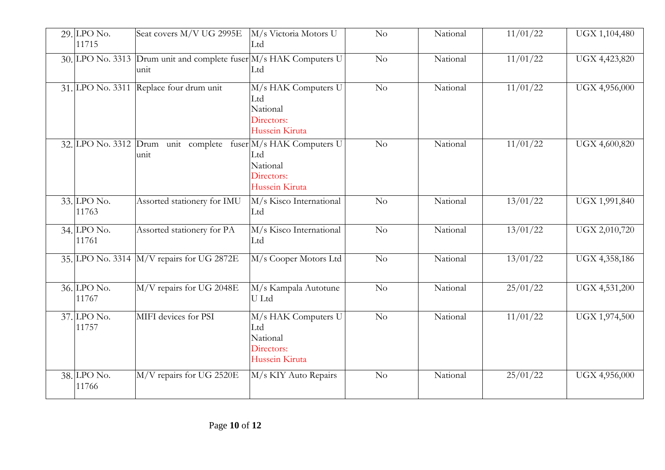| $29$ . LPO No.<br>11715 | Seat covers M/V UG 2995E                                                  | M/s Victoria Motors U<br>Ltd                                           | No              | National | 11/01/22 | UGX 1,104,480 |
|-------------------------|---------------------------------------------------------------------------|------------------------------------------------------------------------|-----------------|----------|----------|---------------|
|                         | 30. LPO No. 3313 Drum unit and complete fuser M/s HAK Computers U<br>unit | Ltd                                                                    | $\overline{No}$ | National | 11/01/22 | UGX 4,423,820 |
|                         | 31. LPO No. 3311 Replace four drum unit                                   | M/s HAK Computers U<br>Ltd<br>National<br>Directors:<br>Hussein Kiruta | No              | National | 11/01/22 | UGX 4,956,000 |
|                         | 32. LPO No. 3312 Drum unit complete fuser M/s HAK Computers U<br>unit     | Ltd<br>National<br>Directors:<br>Hussein Kiruta                        | No              | National | 11/01/22 | UGX 4,600,820 |
| 33. LPO No.<br>11763    | Assorted stationery for IMU                                               | M/s Kisco International<br>Ltd                                         | $\overline{No}$ | National | 13/01/22 | UGX 1,991,840 |
| 34. LPO No.<br>11761    | Assorted stationery for PA                                                | M/s Kisco International<br>Ltd                                         | $\overline{No}$ | National | 13/01/22 | UGX 2,010,720 |
|                         | 35. LPO No. 3314 M/V repairs for UG 2872E                                 | M/s Cooper Motors Ltd                                                  | No              | National | 13/01/22 | UGX 4,358,186 |
| 36. LPO No.<br>11767    | M/V repairs for UG 2048E                                                  | M/s Kampala Autotune<br>U Ltd                                          | No              | National | 25/01/22 | UGX 4,531,200 |
| 37. LPO No.<br>11757    | MIFI devices for PSI                                                      | M/s HAK Computers U<br>Ltd<br>National<br>Directors:<br>Hussein Kiruta | No              | National | 11/01/22 | UGX 1,974,500 |
| 38. LPO No.<br>11766    | M/V repairs for UG 2520E                                                  | M/s KIY Auto Repairs                                                   | No              | National | 25/01/22 | UGX 4,956,000 |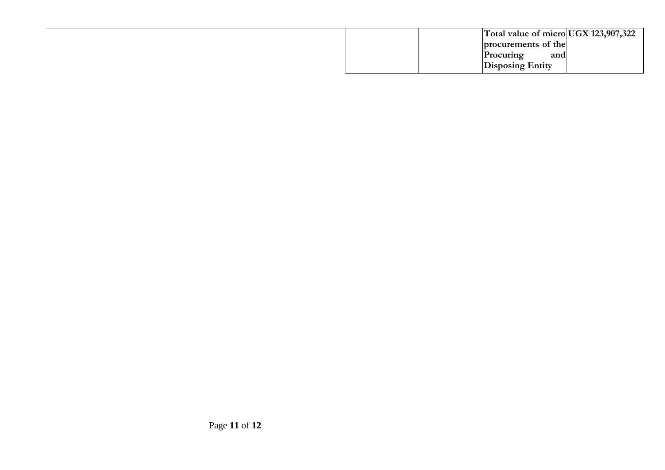| Total value of micro UGX 123,907,322 |
|--------------------------------------|
| procurements of the                  |
| Procuring<br>and                     |
| <b>Disposing Entity</b>              |